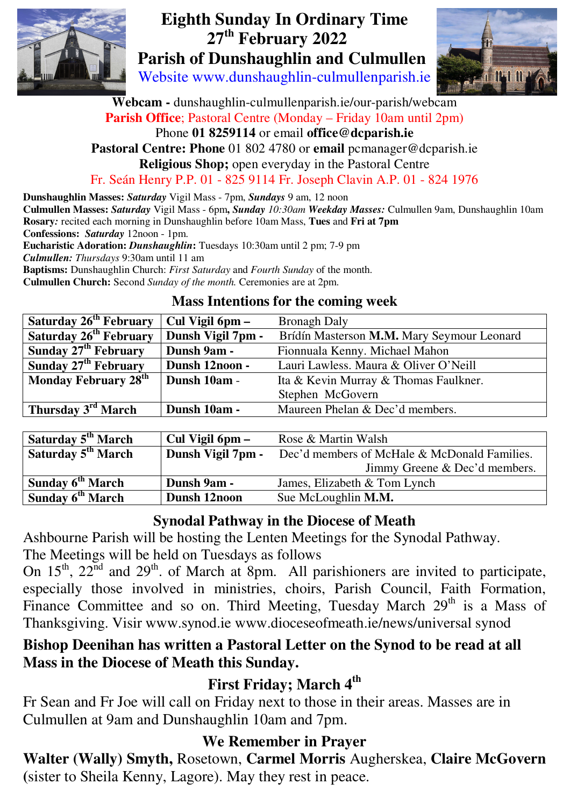

# **Eighth Sunday In Ordinary Time**  **27th February 2022 Parish of Dunshaughlin and Culmullen**

Website www.dunshaughlin-culmullenparish.ie



**Webcam -** dunshaughlin-culmullenparish.ie/our-parish/webcam **Parish Office**; Pastoral Centre (Monday – Friday 10am until 2pm) Phone **01 8259114** or email **office@dcparish.ie**

### **Pastoral Centre: Phone** 01 802 4780 or **email** pcmanager@dcparish.ie

**Religious Shop;** open everyday in the Pastoral Centre

Fr. Seán Henry P.P. 01 - 825 9114 Fr. Joseph Clavin A.P. 01 - 824 1976

**Dunshaughlin Masses:** *Saturday* Vigil Mass - 7pm, *Sundays* 9 am, 12 noon

**Culmullen Masses:** *Saturday* Vigil Mass - 6pm**,** *Sunday 10:30am Weekday Masses:* Culmullen 9am, Dunshaughlin 10am **Rosary***:* recited each morning in Dunshaughlin before 10am Mass, **Tues** and **Fri at 7pm**

**Confessions:** *Saturday* 12noon - 1pm.

**Eucharistic Adoration:** *Dunshaughlin***:** Tuesdays 10:30am until 2 pm; 7-9 pm

*Culmullen: Thursdays* 9:30am until 11 am

**Baptisms:** Dunshaughlin Church: *First Saturday* and *Fourth Sunday* of the month. **Culmullen Church:** Second *Sunday of the month.* Ceremonies are at 2pm.

#### **Mass Intentions for the coming week**

| <b>Saturday 26<sup>th</sup> February</b> | Cul Vigil 6pm –   | <b>Bronagh Daly</b>                            |
|------------------------------------------|-------------------|------------------------------------------------|
|                                          |                   |                                                |
| Saturday 26 <sup>th</sup> February       | Dunsh Vigil 7pm - | Brídín Masterson M.M. Mary Seymour Leonard     |
| Sunday $27th$ February                   | Dunsh 9am -       | Fionnuala Kenny. Michael Mahon                 |
| Sunday 27 <sup>th</sup> February         | Dunsh 12noon -    | Lauri Lawless. Maura & Oliver O'Neill          |
| Monday February 28 <sup>th</sup>         | Dunsh 10am -      | Ita & Kevin Murray & Thomas Faulkner.          |
|                                          |                   | Stephen McGovern                               |
| Thursday 3 <sup>rd</sup> March           | Dunsh 10am -      | Maureen Phelan & Dec'd members.                |
|                                          |                   |                                                |
| Saturday 5 <sup>th</sup> March           | Cul Vigil 6pm –   | Rose & Martin Walsh                            |
| Saturday 5 <sup>th</sup> March           | Dunch Viail 7nm   | $Dec'$ d members of McHale & McDonald Families |

| Saturday 5 <sup>th</sup> March | Dunsh Vigil 7pm - | Dec'd members of McHale & McDonald Families. |
|--------------------------------|-------------------|----------------------------------------------|
|                                |                   | Jimmy Greene & Dec'd members.                |
| Sunday 6 <sup>th</sup> March   | Dunsh 9am -       | James, Elizabeth & Tom Lynch                 |
| Sunday 6 <sup>th</sup> March   | Dunsh 12noon      | Sue McLoughlin M.M.                          |

#### **Synodal Pathway in the Diocese of Meath**

Ashbourne Parish will be hosting the Lenten Meetings for the Synodal Pathway.

The Meetings will be held on Tuesdays as follows

On  $15<sup>th</sup>$ ,  $22<sup>nd</sup>$  and  $29<sup>th</sup>$ . of March at 8pm. All parishioners are invited to participate, especially those involved in ministries, choirs, Parish Council, Faith Formation, Finance Committee and so on. Third Meeting, Tuesday March 29<sup>th</sup> is a Mass of Thanksgiving. Visir www.synod.ie www.dioceseofmeath.ie/news/universal synod

### **Bishop Deenihan has written a Pastoral Letter on the Synod to be read at all Mass in the Diocese of Meath this Sunday.**

# **First Friday; March 4th**

Fr Sean and Fr Joe will call on Friday next to those in their areas. Masses are in Culmullen at 9am and Dunshaughlin 10am and 7pm.

### **We Remember in Prayer**

**Walter (Wally) Smyth,** Rosetown, **Carmel Morris** Augherskea, **Claire McGovern (**sister to Sheila Kenny, Lagore). May they rest in peace.